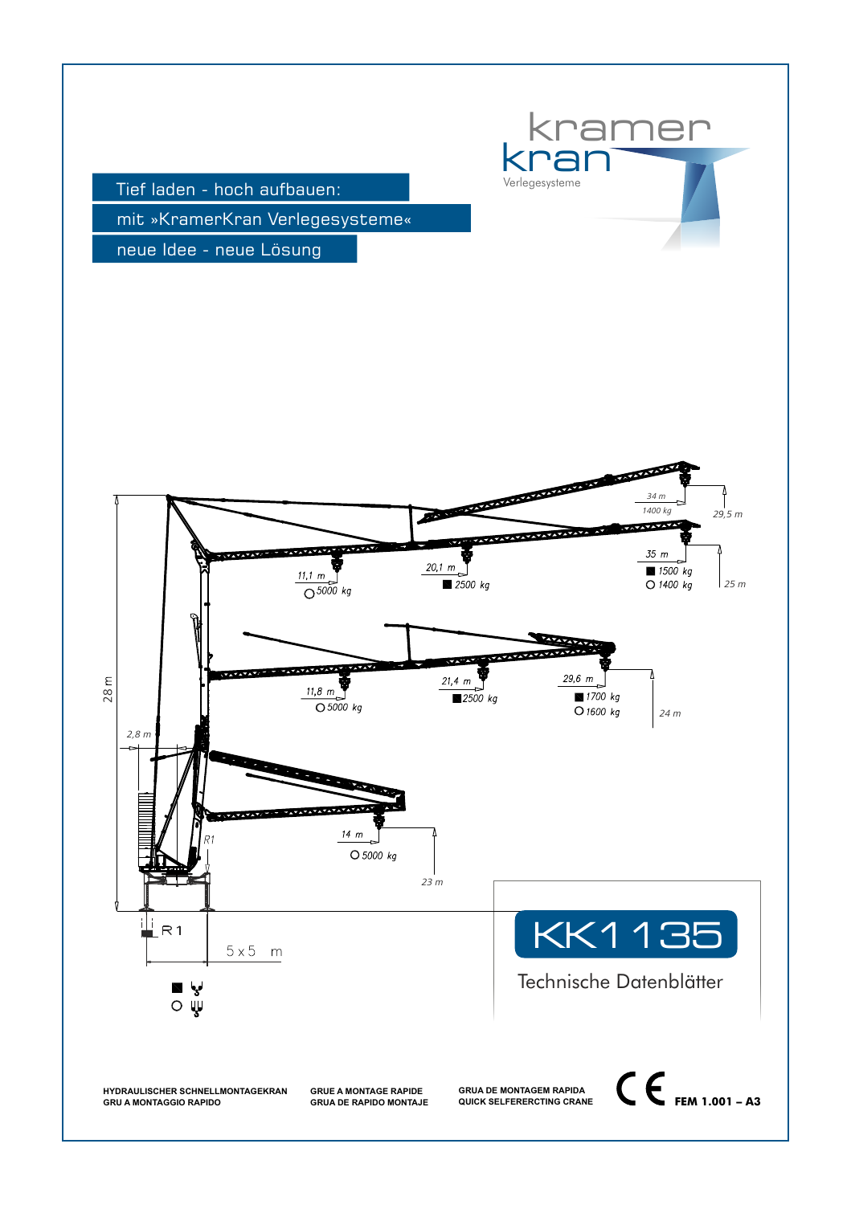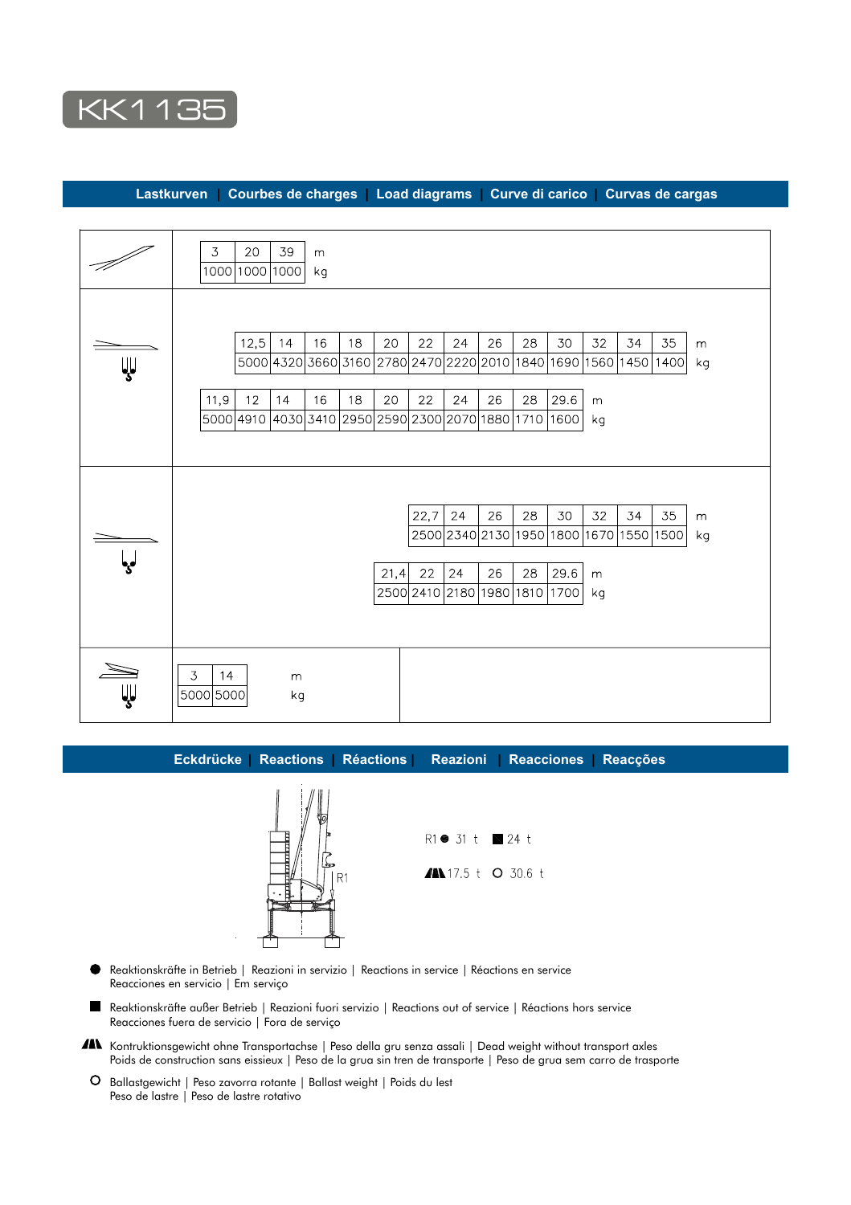

 **Lastkurven | Courbes de charges | Load diagrams | Curve di carico | Curvas de cargas**

|    | 20<br>$\overline{3}$<br>39<br>m<br>1000 1000 1000<br>kg                                                                                                                                                                                                                                                                            |
|----|------------------------------------------------------------------------------------------------------------------------------------------------------------------------------------------------------------------------------------------------------------------------------------------------------------------------------------|
| Ψ  | 16<br>18<br>22<br>26<br>28<br>32<br>34<br>12,5<br>20<br>24<br>30<br>35<br>14<br>${\sf m}$<br>5000 4320 3660 3160 2780 2470 2220 2010<br>1840<br>1690   1560  <br>1450   1400  <br>kg<br>26<br>28<br>12<br>14<br>16<br>18<br>20<br>22<br>24<br>29.6<br>11,9<br>${\sf m}$<br> 5000 4910 4030 3410 2950 2590 2300 2070 1880 1710 1600 |
|    | kg                                                                                                                                                                                                                                                                                                                                 |
|    | 22,7 <br>24<br>26<br>34<br>35<br>28<br>30<br>32<br>m<br>2500 2340 2130<br>1950<br>1800<br>1670 1550 1500<br>kg<br>26<br>28<br>$21,4$ 22<br>24<br>29.6<br>m<br>2500 2410 2180 1980 1810<br>1700<br>kg                                                                                                                               |
| ψJ | $\mathfrak{Z}$<br>14<br>m<br>5000 5000<br>kg                                                                                                                                                                                                                                                                                       |

 **Eckdrücke | Reactions | Réactions | Reazioni | Reacciones | Reacções**



R1● 31 t ■ 24 t AN 17.5 t O 30.6 t

- Reaktionskräfte in Betrieb | Reazioni in servizio | Reactions in service | Réactions en service Reacciones en servicio | Em serviço
- Reaktionskräfte außer Betrieb | Reazioni fuori servizio | Reactions out of service | Réactions hors service Reacciones fuera de servicio | Fora de serviço
- AN Kontruktionsgewicht ohne Transportachse | Peso della gru senza assali | Dead weight without transport axles Poids de construction sans eissieux | Peso de la grua sin tren de transporte | Peso de grua sem carro de trasporte
- O Ballastgewicht | Peso zavorra rotante | Ballast weight | Poids du lest Peso de lastre | Peso de lastre rotativo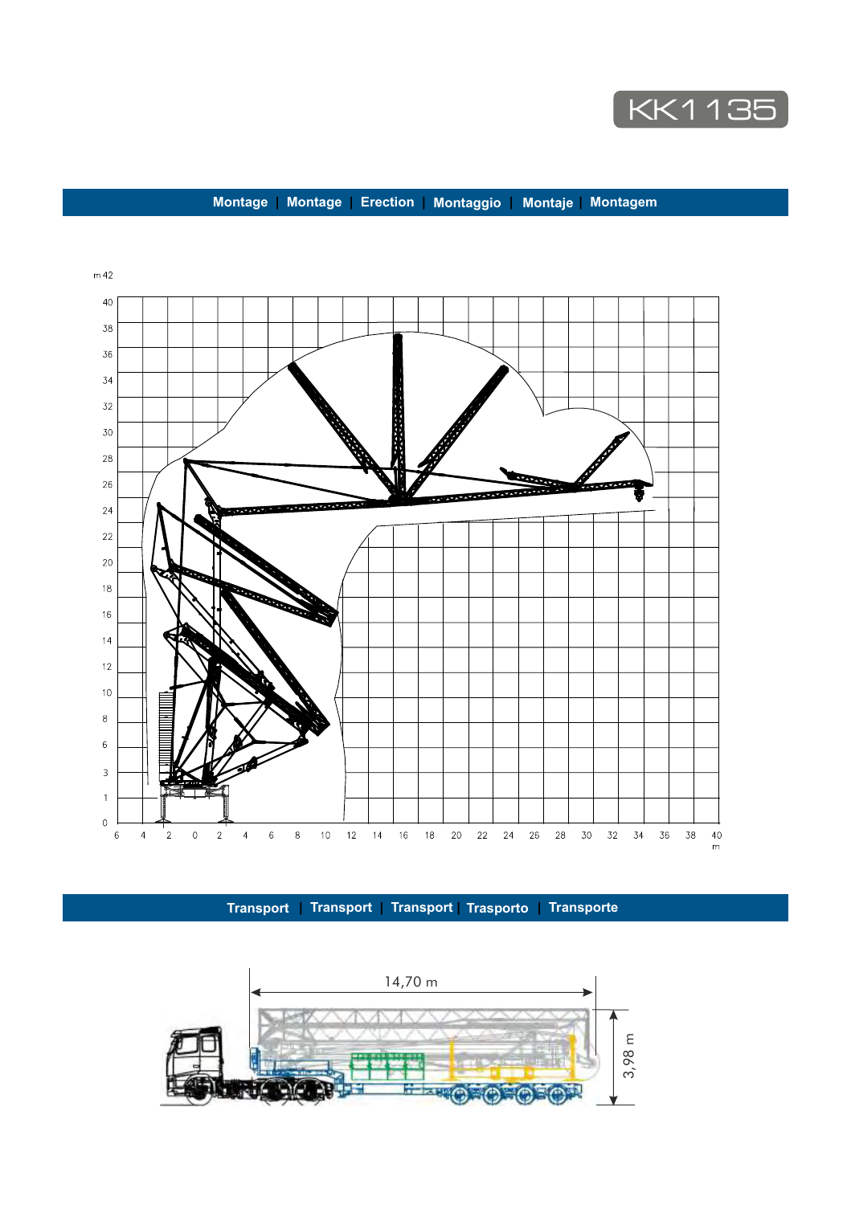

## **Montage | Montage | Erection | Montaggio | Montaje | Montagem**



 **Transport | Transport | Transport | Trasporto | Transporte**